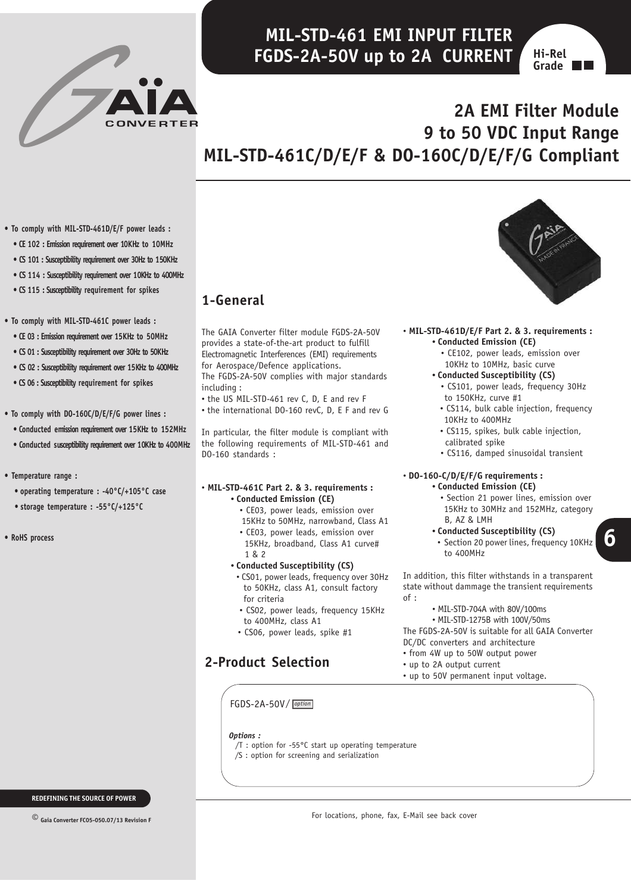# **MIL-STD-461 EMI INPUT FILTER FGDS-2A-50V up to 2A CURRENT**



### **2A EMI Filter Module CONVERTER 9 to 50 VDC Input Range MIL-STD-461C/D/E/F & DO-160C/D/E/F/G Compliant**

- **To comply with MIL-STD-461D/E/F power leads :**
	- **CE 102 : Emission requirement over 10KHz to 10MHz**
	- **CS 101 : Susceptibility requirement over 30Hz to 150KHz**
	- **CS 114 : Susceptibility requirement over 10KHz to 400MHz**
	- **CS 115 : Susceptibility requirement for spikes**
- **To comply with MIL-STD-461C power leads :**
	- **CE 03 : Emission requirement over 15KHz to 50MHz**
	- **CS 01 : Susceptibility requirement over 30Hz to 50KHz**
	- **CS 02 : Susceptibility requirement over 15KHz to 400MHz**
	- **CS 06 : Susceptibility requirement for spikes**

#### **• To comply with DO-160C/D/E/F/G power lines :**

- **Conducted emission requirement over 15KHz to 152MHz**
- **Conducted susceptibility requirement over 10KHz to 400MHz**
- **Temperature range :**
	- **operating temperature : -40°C/+105°C case**
	- **storage temperature : -55°C/+125°C**
- **RoHS process**

# **1-General**

The GAIA Converter filter module FGDS-2A-50V provides a state-of-the-art product to fulfill Electromagnetic Interferences (EMI) requirements for Aerospace/Defence applications. The FGDS-2A-50V complies with major standards

- including :
- the US MIL-STD-461 rev C, D, E and rev F • the international DO-160 revC, D, E F and rev G

In particular, the filter module is compliant with the following requirements of MIL-STD-461 and DO-160 standards :

#### • **MIL-STD-461C Part 2. & 3. requirements : • Conducted Emission (CE)**

- CE03, power leads, emission over
- 15KHz to 50MHz, narrowband, Class A1
- CE03, power leads, emission over 15KHz, broadband, Class A1 curve# 1 & 2
- **• Conducted Susceptibility (CS)**
- CS01, power leads, frequency over 30Hz to 50KHz, class A1, consult factory for criteria
- CS02, power leads, frequency 15KHz to 400MHz, class A1
- CS06, power leads, spike #1

# **2-Product Selection**



#### • **MIL-STD-461D/E/F Part 2. & 3. requirements : • Conducted Emission (CE)**

 • CE102, power leads, emission over 10KHz to 10MHz, basic curve

#### **• Conducted Susceptibility (CS)**

- CS101, power leads, frequency 30Hz to 150KHz, curve #1
- CS114, bulk cable injection, frequency 10KHz to 400MHz
- CS115, spikes, bulk cable injection, calibrated spike
- CS116, damped sinusoidal transient

### • **DO-160-C/D/E/F/G requirements :**

- **• Conducted Emission (CE)** • Section 21 power lines, emission over 15KHz to 30MHz and 152MHz, category
- B, AZ & LMH **• Conducted Susceptibility (CS)**
- Section 20 power lines, frequency 10KHz to 400MHz

**6**

In addition, this filter withstands in a transparent state without dammage the transient requirements of :

• MIL-STD-704A with 80V/100ms

• MIL-STD-1275B with 100V/50ms

The FGDS-2A-50V is suitable for all GAIA Converter DC/DC converters and architecture

- from 4W up to 50W output power
- up to 2A output current
- up to 50V permanent input voltage.

FGDS-2A-50V/ *option*

#### *Options :*

- /T : option for -55°C start up operating temperature
- /S : option for screening and serialization

**REDEFINING THE SOURCE OF POWER**

**© Gaia Converter FC05-050.07/13 Revision F**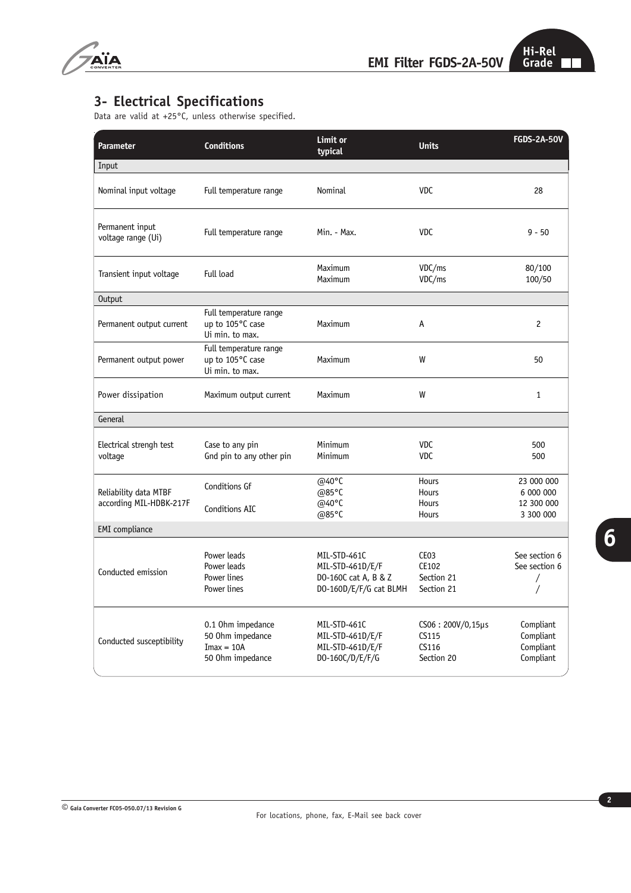

## **3- Electrical Specifications**

Data are valid at +25°C, unless otherwise specified.

| <b>Parameter</b>                                 | <b>Conditions</b>                                                         | Limit or<br>typical                                                                | <b>Units</b>                                          | <b>FGDS-2A-50V</b>                                 |
|--------------------------------------------------|---------------------------------------------------------------------------|------------------------------------------------------------------------------------|-------------------------------------------------------|----------------------------------------------------|
| Input                                            |                                                                           |                                                                                    |                                                       |                                                    |
| Nominal input voltage                            | Full temperature range                                                    | Nominal                                                                            | <b>VDC</b>                                            | 28                                                 |
| Permanent input<br>voltage range (Ui)            | Full temperature range                                                    | Min. - Max.                                                                        | <b>VDC</b>                                            | $9 - 50$                                           |
| Transient input voltage                          | Full load                                                                 | Maximum<br>Maximum                                                                 | VDC/ms<br>VDC/ms                                      | 80/100<br>100/50                                   |
| Output                                           |                                                                           |                                                                                    |                                                       |                                                    |
| Permanent output current                         | Full temperature range<br>up to 105°C case<br>Ui min. to max.             | Maximum                                                                            | A                                                     | $\overline{c}$                                     |
| Permanent output power                           | Full temperature range<br>up to 105°C case<br>Ui min. to max.             | Maximum                                                                            | W                                                     | 50                                                 |
| Power dissipation                                | Maximum output current                                                    | Maximum                                                                            | W                                                     | $\mathbf{1}$                                       |
| General                                          |                                                                           |                                                                                    |                                                       |                                                    |
| Electrical strengh test<br>voltage               | Case to any pin<br>Gnd pin to any other pin                               | Minimum<br>Minimum                                                                 | <b>VDC</b><br><b>VDC</b>                              | 500<br>500                                         |
| Reliability data MTBF<br>according MIL-HDBK-217F | Conditions Gf<br>Conditions AIC                                           | @40 $^{\circ}$ C<br>@85°C<br>@40°C<br>@85°C                                        | Hours<br>Hours<br>Hours<br>Hours                      | 23 000 000<br>6 000 000<br>12 300 000<br>3 300 000 |
| <b>EMI</b> compliance                            |                                                                           |                                                                                    |                                                       |                                                    |
| Conducted emission                               | Power leads<br>Power leads<br>Power lines<br>Power lines                  | MIL-STD-461C<br>MIL-STD-461D/E/F<br>DO-160C cat A, B & Z<br>DO-160D/E/F/G cat BLMH | CE <sub>03</sub><br>CE102<br>Section 21<br>Section 21 | See section 6<br>See section 6<br>$\sqrt{2}$<br>/  |
| Conducted susceptibility                         | 0.1 Ohm impedance<br>50 Ohm impedance<br>$Imax = 10A$<br>50 Ohm impedance | MIL-STD-461C<br>MIL-STD-461D/E/F<br>MIL-STD-461D/E/F<br>DO-160C/D/E/F/G            | $CS06:200V/0,15\mu s$<br>CS115<br>CS116<br>Section 20 | Compliant<br>Compliant<br>Compliant<br>Compliant   |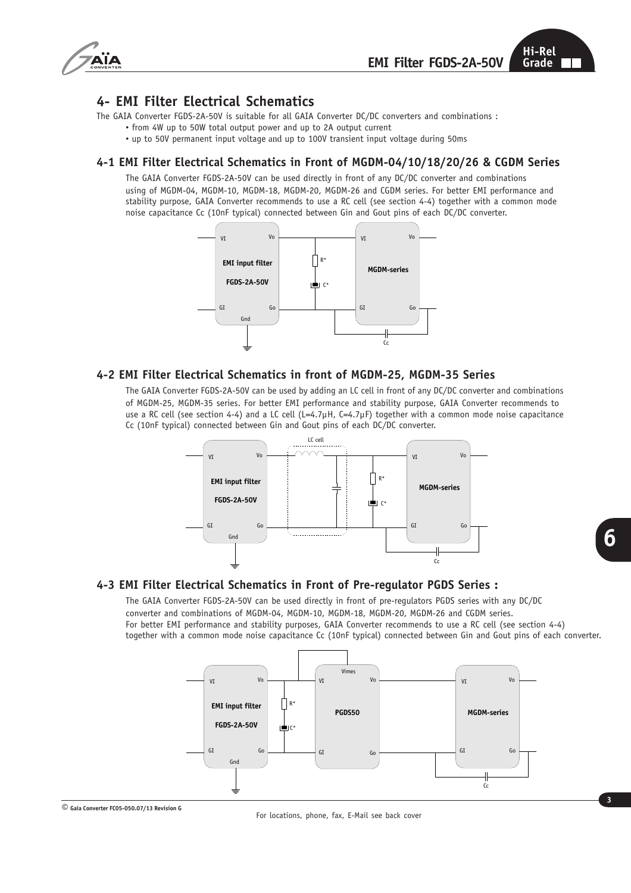

### **4- EMI Filter Electrical Schematics**

The GAIA Converter FGDS-2A-50V is suitable for all GAIA Converter DC/DC converters and combinations :

- from 4W up to 50W total output power and up to 2A output current
- up to 50V permanent input voltage and up to 100V transient input voltage during 50ms

#### **4-1 EMI Filter Electrical Schematics in Front of MGDM-04/10/18/20/26 & CGDM Series**

The GAIA Converter FGDS-2A-50V can be used directly in front of any DC/DC converter and combinations using of MGDM-04, MGDM-10, MGDM-18, MGDM-20, MGDM-26 and CGDM series. For better EMI performance and stability purpose, GAIA Converter recommends to use a RC cell (see section 4-4) together with a common mode noise capacitance Cc (10nF typical) connected between Gin and Gout pins of each DC/DC converter.



#### **4-2 EMI Filter Electrical Schematics in front of MGDM-25, MGDM-35 Series**

The GAIA Converter FGDS-2A-50V can be used by adding an LC cell in front of any DC/DC converter and combinations of MGDM-25, MGDM-35 series. For better EMI performance and stability purpose, GAIA Converter recommends to use a RC cell (see section 4-4) and a LC cell (L=4.7µH, C=4.7µF) together with a common mode noise capacitance Cc (10nF typical) connected between Gin and Gout pins of each DC/DC converter.



### **4-3 EMI Filter Electrical Schematics in Front of Pre-regulator PGDS Series :**

The GAIA Converter FGDS-2A-50V can be used directly in front of pre-regulators PGDS series with any DC/DC converter and combinations of MGDM-04, MGDM-10, MGDM-18, MGDM-20, MGDM-26 and CGDM series. For better EMI performance and stability purposes, GAIA Converter recommends to use a RC cell (see section 4-4) together with a common mode noise capacitance Cc (10nF typical) connected between Gin and Gout pins of each converter.



**© Gaia Converter FC05-050.07/13 Revision G**

**6**

For locations, phone, fax, E-Mail see back cover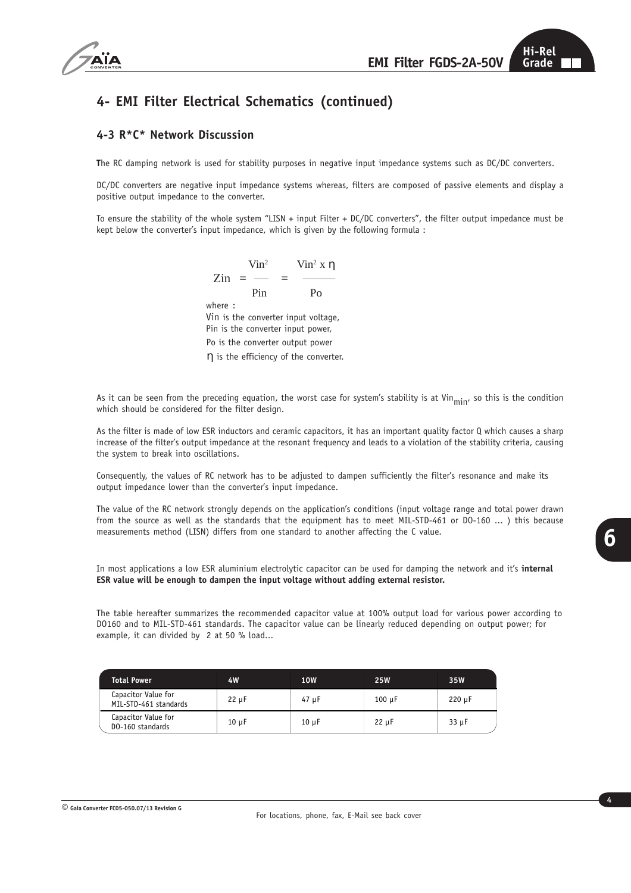

## **4- EMI Filter Electrical Schematics (continued)**

### **4-3 R\*C\* Network Discussion**

**T**he RC damping network is used for stability purposes in negative input impedance systems such as DC/DC converters.

DC/DC converters are negative input impedance systems whereas, filters are composed of passive elements and display a positive output impedance to the converter.

To ensure the stability of the whole system "LISN + input Filter + DC/DC converters", the filter output impedance must be kept below the converter's input impedance, which is given by the following formula :

> Vin<sup>2</sup>  $\text{V}$ in<sup>2</sup> x η  $\text{Zin} = -$  Pin Po where : Vin is the converter input voltage, Pin is the converter input power, Po is the converter output power η is the efficiency of the converter.

As it can be seen from the preceding equation, the worst case for system's stability is at Vin<sub>min</sub>, so this is the condition which should be considered for the filter design.

As the filter is made of low ESR inductors and ceramic capacitors, it has an important quality factor Q which causes a sharp increase of the filter's output impedance at the resonant frequency and leads to a violation of the stability criteria, causing the system to break into oscillations.

Consequently, the values of RC network has to be adjusted to dampen sufficiently the filter's resonance and make its output impedance lower than the converter's input impedance.

The value of the RC network strongly depends on the application's conditions (input voltage range and total power drawn from the source as well as the standards that the equipment has to meet MIL-STD-461 or D0-160 ... ) this because measurements method (LISN) differs from one standard to another affecting the C value.

In most applications a low ESR aluminium electrolytic capacitor can be used for damping the network and it's **internal ESR value will be enough to dampen the input voltage without adding external resistor.**

The table hereafter summarizes the recommended capacitor value at 100% output load for various power according to DO160 and to MIL-STD-461 standards. The capacitor value can be linearly reduced depending on output power; for example, it can divided by 2 at 50 % load...

| <b>Total Power</b>                           | 4W         | <b>10W</b> | <b>25W</b>  | 35W         |
|----------------------------------------------|------------|------------|-------------|-------------|
| Capacitor Value for<br>MIL-STD-461 standards | $22 \mu F$ | 47 µF      | $100 \mu F$ | $220 \mu F$ |
| Capacitor Value for<br>DO-160 standards      | $10 \mu F$ | $10 \mu F$ | $22 \mu F$  | 33 µF       |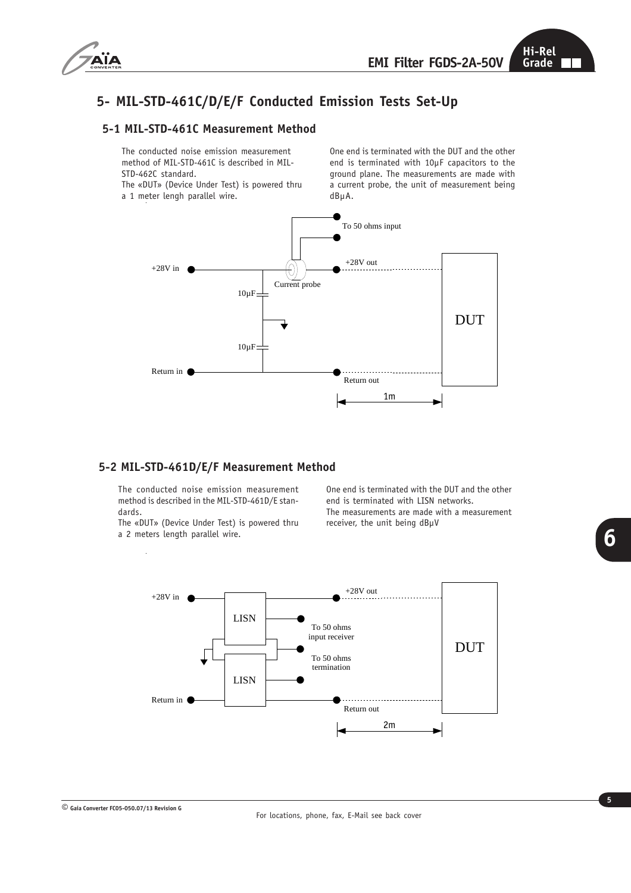

# **5- MIL-STD-461C/D/E/F Conducted Emission Tests Set-Up**

#### **5-1 MIL-STD-461C Measurement Method**

The conducted noise emission measurement method of MIL-STD-461C is described in MIL-STD-462C standard.

The «DUT» (Device Under Test) is powered thru a 1 meter lengh parallel wire.

One end is terminated with the DUT and the other end is terminated with 10µF capacitors to the ground plane. The measurements are made with a current probe, the unit of measurement being dBµA.



#### **5-2 MIL-STD-461D/E/F Measurement Method**

The conducted noise emission measurement method is described in the MIL-STD-461D/E standards.

The «DUT» (Device Under Test) is powered thru a 2 meters length parallel wire.

J.

One end is terminated with the DUT and the other end is terminated with LISN networks. The measurements are made with a measurement receiver, the unit being dBµV



**6**

**© Gaia Converter FC05-050.07/13 Revision G**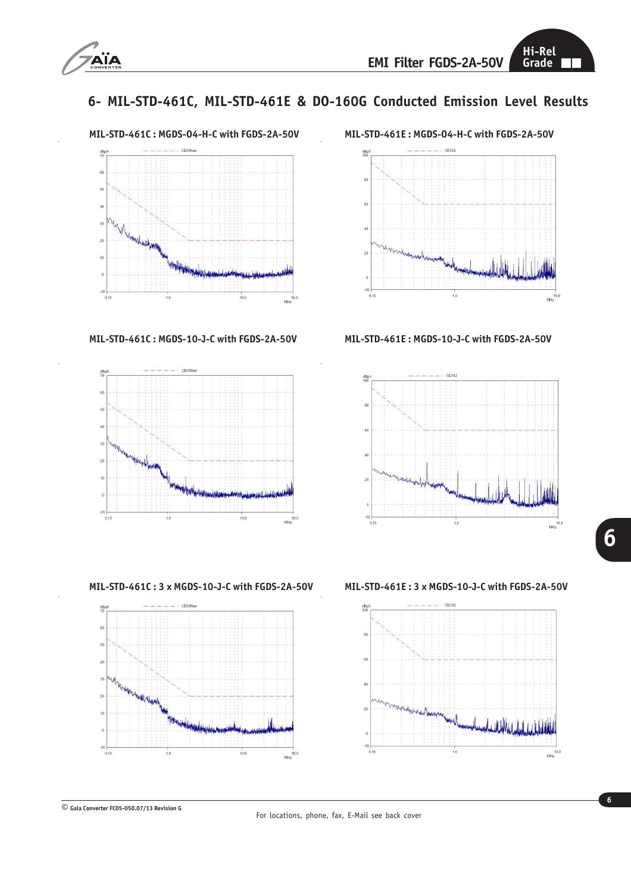

## **6- MIL-STD-461C, MIL-STD-461E & DO-160G Conducted Emission Level Results**



**MIL-STD-461C : MGDS-10-J-C with FGDS-2A-50V MIL-STD-461E : MGDS-10-J-C with FGDS-2A-50V**



**MIL-STD-461C : 3 x MGDS-10-J-C with FGDS-2A-50V MIL-STD-461E : 3 x MGDS-10-J-C with FGDS-2A-50V**









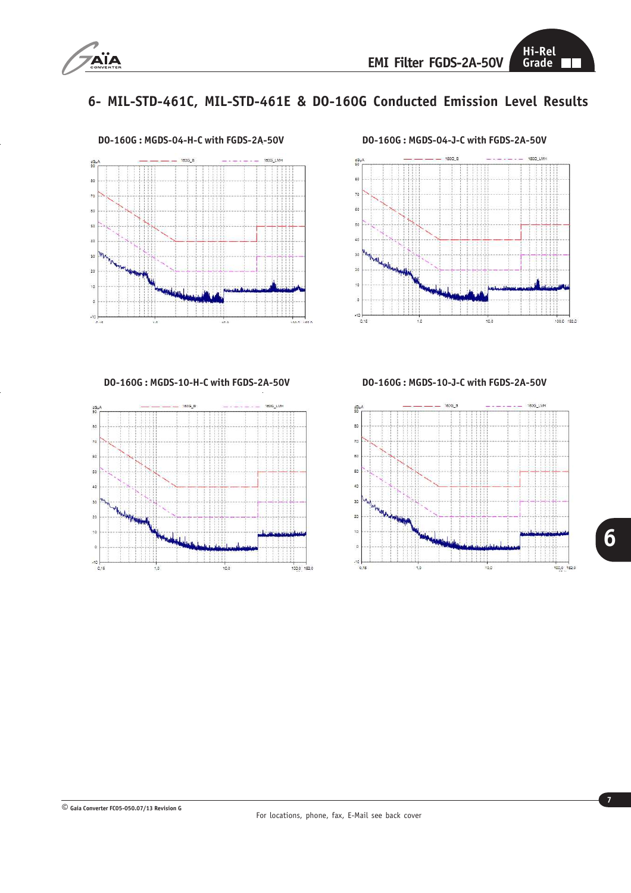

## **6- MIL-STD-461C, MIL-STD-461E & DO-160G Conducted Emission Level Results**





**DO-160G : MGDS-10-H-C with FGDS-2A-50V DO-160G : MGDS-10-J-C with FGDS-2A-50V**



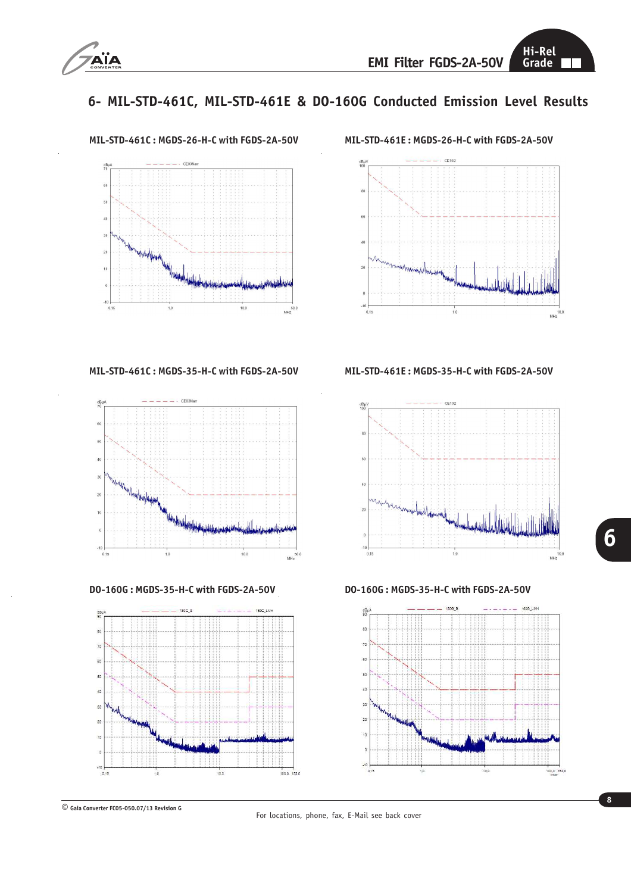

# **6- MIL-STD-461C, MIL-STD-461E & DO-160G Conducted Emission Level Results**



**MIL-STD-461C : MGDS-26-H-C with FGDS-2A-50V MIL-STD-461E : MGDS-26-H-C with FGDS-2A-50V**







**MIL-STD-461C : MGDS-35-H-C with FGDS-2A-50V MIL-STD-461E : MGDS-35-H-C with FGDS-2A-50V**



**DO-160G : MGDS-35-H-C with FGDS-2A-50V DO-160G : MGDS-35-H-C with FGDS-2A-50V**



**© Gaia Converter FC05-050.07/13 Revision G**

For locations, phone, fax, E-Mail see back cover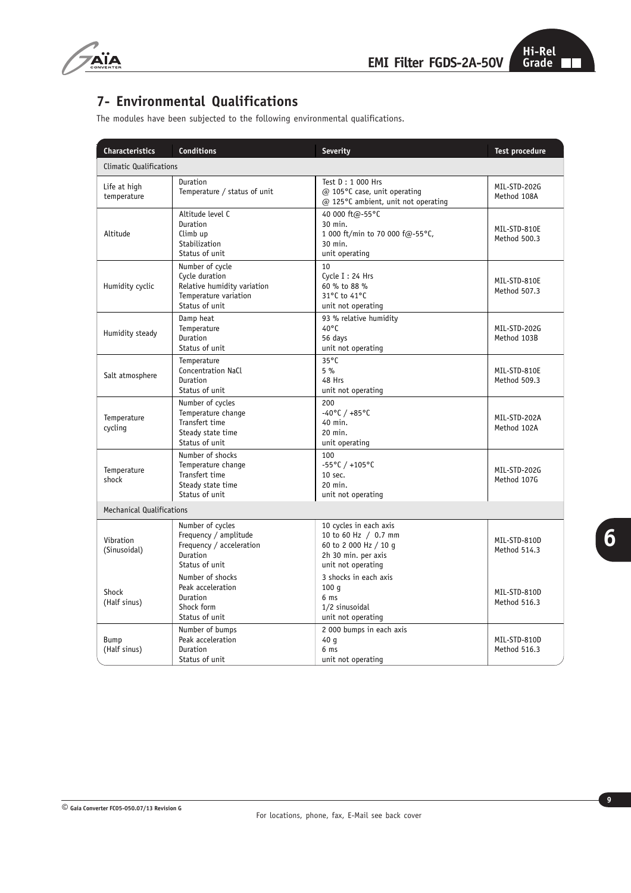

## **7- Environmental Qualifications**

| <b>Characteristics</b>           | <b>Conditions</b>                                                                                           | <b>Severity</b>                                                                                                      | <b>Test procedure</b>        |  |  |
|----------------------------------|-------------------------------------------------------------------------------------------------------------|----------------------------------------------------------------------------------------------------------------------|------------------------------|--|--|
| Climatic Qualifications          |                                                                                                             |                                                                                                                      |                              |  |  |
| Life at high<br>temperature      | Duration<br>Temperature / status of unit                                                                    | Test D: 1 000 Hrs<br>@ 105°C case, unit operating<br>@ 125°C ambient, unit not operating                             | MIL-STD-202G<br>Method 108A  |  |  |
| Altitude                         | Altitude level C<br>Duration<br>Climb up<br>Stabilization<br>Status of unit                                 | 40 000 ft@-55°C<br>30 min.<br>1 000 ft/min to 70 000 f@-55°C,<br>30 min.<br>unit operating                           | MIL-STD-810E<br>Method 500.3 |  |  |
| Humidity cyclic                  | Number of cycle<br>Cycle duration<br>Relative humidity variation<br>Temperature variation<br>Status of unit | 10<br>Cycle I: 24 Hrs<br>60 % to 88 %<br>31°C to 41°C<br>unit not operating                                          | MIL-STD-810E<br>Method 507.3 |  |  |
| Humidity steady                  | Damp heat<br>Temperature<br>Duration<br>Status of unit                                                      | 93 % relative humidity<br>$40^{\circ}$ C<br>56 days<br>unit not operating                                            | MIL-STD-202G<br>Method 103B  |  |  |
| Salt atmosphere                  | Temperature<br>Concentration NaCl<br>Duration<br>Status of unit                                             | $35^{\circ}$ C<br>5%<br>48 Hrs<br>unit not operating                                                                 | MIL-STD-810E<br>Method 509.3 |  |  |
| Temperature<br>cycling           | Number of cycles<br>Temperature change<br>Transfert time<br>Steady state time<br>Status of unit             | 200<br>$-40^{\circ}$ C / $+85^{\circ}$ C<br>40 min.<br>20 min.<br>unit operating                                     | MIL-STD-202A<br>Method 102A  |  |  |
| Temperature<br>shock             | Number of shocks<br>Temperature change<br>Transfert time<br>Steady state time<br>Status of unit             | 100<br>$-55^{\circ}$ C / +105°C<br>10 sec.<br>20 min.<br>unit not operating                                          | MIL-STD-202G<br>Method 107G  |  |  |
| <b>Mechanical Qualifications</b> |                                                                                                             |                                                                                                                      |                              |  |  |
| Vibration<br>(Sinusoidal)        | Number of cycles<br>Frequency / amplitude<br>Frequency / acceleration<br>Duration<br>Status of unit         | 10 cycles in each axis<br>10 to 60 Hz / 0.7 mm<br>60 to 2 000 Hz / 10 q<br>2h 30 min. per axis<br>unit not operating | MIL-STD-810D<br>Method 514.3 |  |  |
| Shock<br>(Half sinus)            | Number of shocks<br>Peak acceleration<br>Duration<br>Shock form<br>Status of unit                           | 3 shocks in each axis<br>100q<br>6 <sub>ms</sub><br>1/2 sinusoidal<br>unit not operating                             | MIL-STD-810D<br>Method 516.3 |  |  |
| Bump<br>(Half sinus)             | Number of bumps<br>Peak acceleration<br>Duration<br>Status of unit                                          | 2 000 bumps in each axis<br>40 g<br>6 <sub>ms</sub><br>unit not operating                                            | MIL-STD-810D<br>Method 516.3 |  |  |

The modules have been subjected to the following environmental qualifications.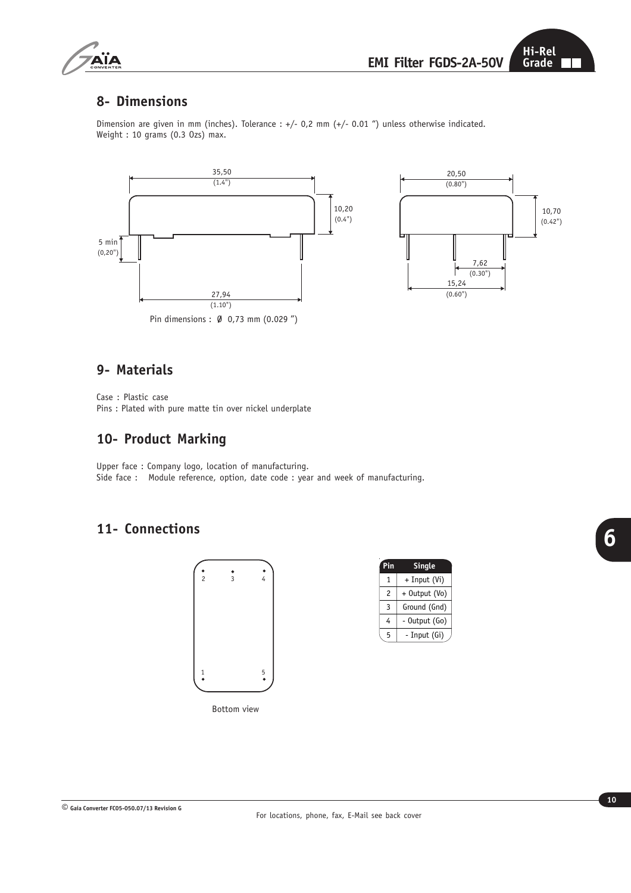

### **8- Dimensions**

Dimension are given in mm (inches). Tolerance : +/- 0,2 mm (+/- 0.01 ") unless otherwise indicated. Weight : 10 grams (0.3 Ozs) max.



### **9- Materials**

Case : Plastic case Pins : Plated with pure matte tin over nickel underplate

## **10- Product Marking**

Upper face : Company logo, location of manufacturing. Side face : Module reference, option, date code : year and week of manufacturing.

## **11- Connections**



| Pin | <b>Single</b> |  |
|-----|---------------|--|
| 1   | + Input (Vi)  |  |
| 2   | + Output (Vo) |  |
| 3   | Ground (Gnd)  |  |
| 4   | - Output (Go) |  |
| 5   | - Input (Gi)  |  |
|     |               |  |